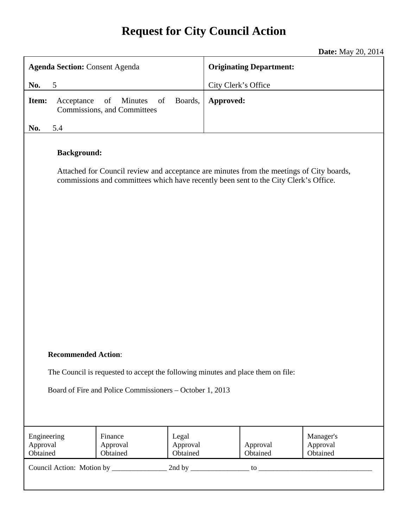# **Request for City Council Action**

**Date:** May 20, 2014

| <b>Agenda Section: Consent Agenda</b>                                                                                                                                                                  |                                                    |                               | <b>Originating Department:</b>                            |
|--------------------------------------------------------------------------------------------------------------------------------------------------------------------------------------------------------|----------------------------------------------------|-------------------------------|-----------------------------------------------------------|
| 5<br>No.                                                                                                                                                                                               |                                                    |                               | City Clerk's Office                                       |
| Item:<br>Acceptance                                                                                                                                                                                    | of<br>Minutes<br>of<br>Commissions, and Committees | Boards,                       | Approved:                                                 |
| 5.4<br>No.                                                                                                                                                                                             |                                                    |                               |                                                           |
| <b>Background:</b><br>Attached for Council review and acceptance are minutes from the meetings of City boards,<br>commissions and committees which have recently been sent to the City Clerk's Office. |                                                    |                               |                                                           |
| <b>Recommended Action:</b><br>The Council is requested to accept the following minutes and place them on file:<br>Board of Fire and Police Commissioners – October 1, 2013                             |                                                    |                               |                                                           |
| Engineering<br>Approval<br>Obtained                                                                                                                                                                    | Finance<br>Approval<br>Obtained                    | Legal<br>Approval<br>Obtained | Manager's<br>Approval<br>Approval<br>Obtained<br>Obtained |
|                                                                                                                                                                                                        |                                                    |                               |                                                           |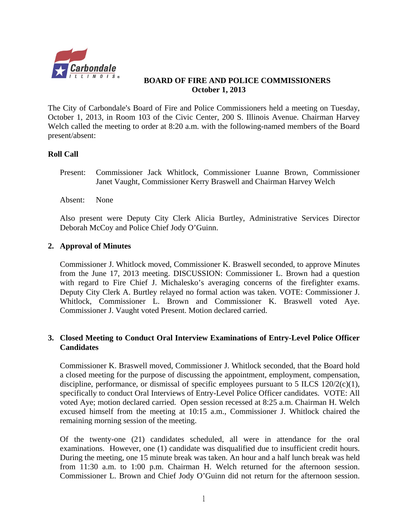

## **BOARD OF FIRE AND POLICE COMMISSIONERS October 1, 2013**

The City of Carbondale's Board of Fire and Police Commissioners held a meeting on Tuesday, October 1, 2013, in Room 103 of the Civic Center, 200 S. Illinois Avenue. Chairman Harvey Welch called the meeting to order at 8:20 a.m. with the following-named members of the Board present/absent:

## **Roll Call**

Present: Commissioner Jack Whitlock, Commissioner Luanne Brown, Commissioner Janet Vaught, Commissioner Kerry Braswell and Chairman Harvey Welch

Absent: None

Also present were Deputy City Clerk Alicia Burtley, Administrative Services Director Deborah McCoy and Police Chief Jody O'Guinn.

#### **2. Approval of Minutes**

Commissioner J. Whitlock moved, Commissioner K. Braswell seconded, to approve Minutes from the June 17, 2013 meeting. DISCUSSION: Commissioner L. Brown had a question with regard to Fire Chief J. Michalesko's averaging concerns of the firefighter exams. Deputy City Clerk A. Burtley relayed no formal action was taken. VOTE: Commissioner J. Whitlock, Commissioner L. Brown and Commissioner K. Braswell voted Aye. Commissioner J. Vaught voted Present. Motion declared carried.

# **3. Closed Meeting to Conduct Oral Interview Examinations of Entry-Level Police Officer Candidates**

Commissioner K. Braswell moved, Commissioner J. Whitlock seconded, that the Board hold a closed meeting for the purpose of discussing the appointment, employment, compensation, discipline, performance, or dismissal of specific employees pursuant to 5 ILCS  $120/2(c)(1)$ , specifically to conduct Oral Interviews of Entry-Level Police Officer candidates. VOTE: All voted Aye; motion declared carried. Open session recessed at 8:25 a.m. Chairman H. Welch excused himself from the meeting at 10:15 a.m., Commissioner J. Whitlock chaired the remaining morning session of the meeting.

Of the twenty-one (21) candidates scheduled, all were in attendance for the oral examinations. However, one (1) candidate was disqualified due to insufficient credit hours. During the meeting, one 15 minute break was taken. An hour and a half lunch break was held from 11:30 a.m. to 1:00 p.m. Chairman H. Welch returned for the afternoon session. Commissioner L. Brown and Chief Jody O'Guinn did not return for the afternoon session.